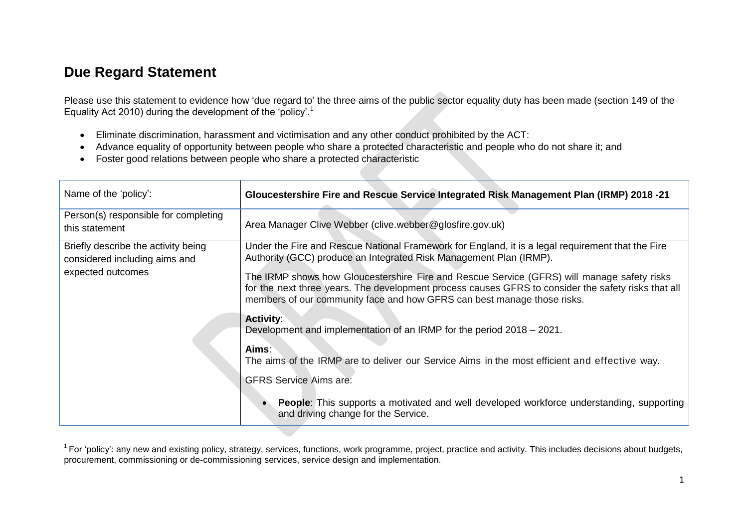### **Due Regard Statement**

Please use this statement to evidence how 'due regard to' the three aims of the public sector equality duty has been made (section 149 of the Equality Act 2010) during the development of the 'policy'.<sup>1</sup>

- Eliminate discrimination, harassment and victimisation and any other conduct prohibited by the ACT:
- Advance equality of opportunity between people who share a protected characteristic and people who do not share it; and
- Foster good relations between people who share a protected characteristic

| Name of the 'policy':                                                | Gloucestershire Fire and Rescue Service Integrated Risk Management Plan (IRMP) 2018 -21                                                                                                                                                                                      |  |  |
|----------------------------------------------------------------------|------------------------------------------------------------------------------------------------------------------------------------------------------------------------------------------------------------------------------------------------------------------------------|--|--|
| Person(s) responsible for completing<br>this statement               | Area Manager Clive Webber (clive.webber@glosfire.gov.uk)                                                                                                                                                                                                                     |  |  |
| Briefly describe the activity being<br>considered including aims and | Under the Fire and Rescue National Framework for England, it is a legal requirement that the Fire<br>Authority (GCC) produce an Integrated Risk Management Plan (IRMP).                                                                                                      |  |  |
| expected outcomes                                                    | The IRMP shows how Gloucestershire Fire and Rescue Service (GFRS) will manage safety risks<br>for the next three years. The development process causes GFRS to consider the safety risks that all<br>members of our community face and how GFRS can best manage those risks. |  |  |
|                                                                      | <b>Activity:</b><br>Development and implementation of an IRMP for the period 2018 – 2021.                                                                                                                                                                                    |  |  |
|                                                                      | Aims:<br>The aims of the IRMP are to deliver our Service Aims in the most efficient and effective way.                                                                                                                                                                       |  |  |
|                                                                      | <b>GFRS Service Aims are:</b>                                                                                                                                                                                                                                                |  |  |
|                                                                      | <b>People:</b> This supports a motivated and well developed workforce understanding, supporting<br>and driving change for the Service.                                                                                                                                       |  |  |

 $\overline{a}$  $^1$  For 'policy': any new and existing policy, strategy, services, functions, work programme, project, practice and activity. This includes decisions about budgets, procurement, commissioning or de-commissioning services, service design and implementation.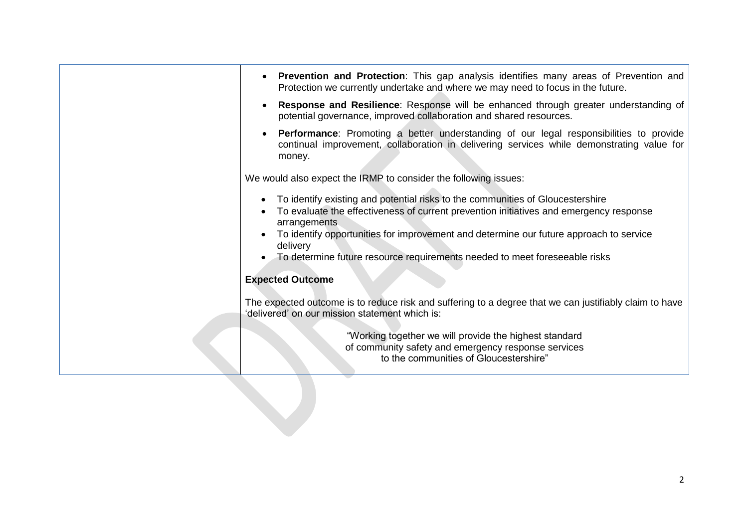| We would also expect the IRMP to consider the following issues:<br>To identify existing and potential risks to the communities of Gloucestershire<br>To evaluate the effectiveness of current prevention initiatives and emergency response<br>arrangements<br>To identify opportunities for improvement and determine our future approach to service<br>delivery<br>To determine future resource requirements needed to meet foreseeable risks |
|-------------------------------------------------------------------------------------------------------------------------------------------------------------------------------------------------------------------------------------------------------------------------------------------------------------------------------------------------------------------------------------------------------------------------------------------------|
| <b>Expected Outcome</b><br>The expected outcome is to reduce risk and suffering to a degree that we can justifiably claim to have                                                                                                                                                                                                                                                                                                               |
| 'delivered' on our mission statement which is:<br>"Working together we will provide the highest standard<br>of community safety and emergency response services<br>to the communities of Gloucestershire"                                                                                                                                                                                                                                       |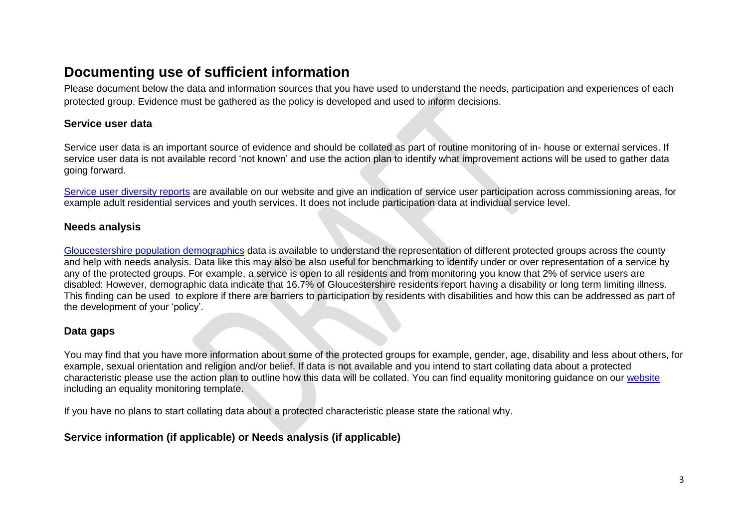### **Documenting use of sufficient information**

Please document below the data and information sources that you have used to understand the needs, participation and experiences of each protected group. Evidence must be gathered as the policy is developed and used to inform decisions.

### **Service user data**

Service user data is an important source of evidence and should be collated as part of routine monitoring of in- house or external services. If service user data is not available record 'not known' and use the action plan to identify what improvement actions will be used to gather data going forward.

[Service user diversity reports](http://www.gloucestershire.gov.uk/article/112275/Reports) are available on our website and give an indication of service user participation across commissioning areas, for example adult residential services and youth services. It does not include participation data at individual service level.

#### **Needs analysis**

[Gloucestershire population demographics](http://thisweek/index.cfm?articleid=17740) data is available to understand the representation of different protected groups across the county and help with needs analysis. Data like this may also be also useful for benchmarking to identify under or over representation of a service by any of the protected groups. For example, a service is open to all residents and from monitoring you know that 2% of service users are disabled: However, demographic data indicate that 16.7% of Gloucestershire residents report having a disability or long term limiting illness. This finding can be used to explore if there are barriers to participation by residents with disabilities and how this can be addressed as part of the development of your 'policy'.

#### **Data gaps**

You may find that you have more information about some of the protected groups for example, gender, age, disability and less about others, for example, sexual orientation and religion and/or belief. If data is not available and you intend to start collating data about a protected characteristic please use the action plan to outline how this data will be collated. You can find equality monitoring guidance on our [website](http://thisweek/index.cfm?articleid=18052) including an equality monitoring template.

If you have no plans to start collating data about a protected characteristic please state the rational why.

### **Service information (if applicable) or Needs analysis (if applicable)**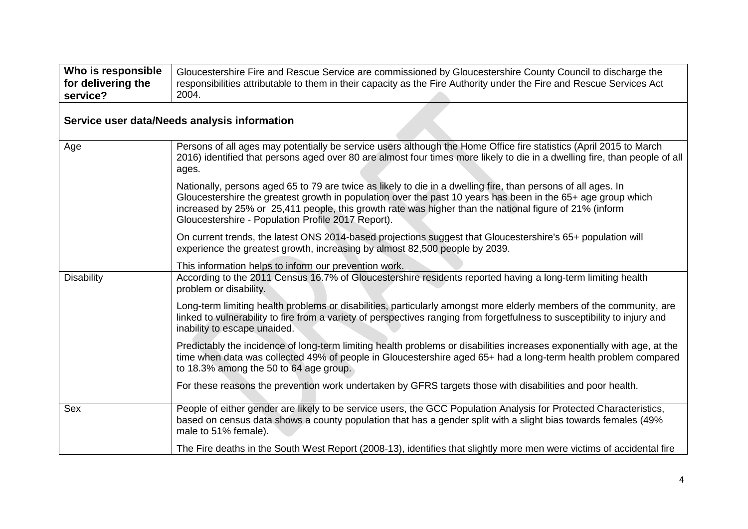| Who is responsible<br>for delivering the<br>service? | Gloucestershire Fire and Rescue Service are commissioned by Gloucestershire County Council to discharge the<br>responsibilities attributable to them in their capacity as the Fire Authority under the Fire and Rescue Services Act<br>2004.                                                                                                                                                  |
|------------------------------------------------------|-----------------------------------------------------------------------------------------------------------------------------------------------------------------------------------------------------------------------------------------------------------------------------------------------------------------------------------------------------------------------------------------------|
|                                                      | Service user data/Needs analysis information                                                                                                                                                                                                                                                                                                                                                  |
| Age                                                  | Persons of all ages may potentially be service users although the Home Office fire statistics (April 2015 to March<br>2016) identified that persons aged over 80 are almost four times more likely to die in a dwelling fire, than people of all<br>ages.                                                                                                                                     |
|                                                      | Nationally, persons aged 65 to 79 are twice as likely to die in a dwelling fire, than persons of all ages. In<br>Gloucestershire the greatest growth in population over the past 10 years has been in the 65+ age group which<br>increased by 25% or 25,411 people, this growth rate was higher than the national figure of 21% (inform<br>Gloucestershire - Population Profile 2017 Report). |
|                                                      | On current trends, the latest ONS 2014-based projections suggest that Gloucestershire's 65+ population will<br>experience the greatest growth, increasing by almost 82,500 people by 2039.                                                                                                                                                                                                    |
|                                                      | This information helps to inform our prevention work.                                                                                                                                                                                                                                                                                                                                         |
| <b>Disability</b>                                    | According to the 2011 Census 16.7% of Gloucestershire residents reported having a long-term limiting health<br>problem or disability.                                                                                                                                                                                                                                                         |
|                                                      | Long-term limiting health problems or disabilities, particularly amongst more elderly members of the community, are<br>linked to vulnerability to fire from a variety of perspectives ranging from forgetfulness to susceptibility to injury and<br>inability to escape unaided.                                                                                                              |
|                                                      | Predictably the incidence of long-term limiting health problems or disabilities increases exponentially with age, at the<br>time when data was collected 49% of people in Gloucestershire aged 65+ had a long-term health problem compared<br>to 18.3% among the 50 to 64 age group.                                                                                                          |
|                                                      | For these reasons the prevention work undertaken by GFRS targets those with disabilities and poor health.                                                                                                                                                                                                                                                                                     |
| Sex                                                  | People of either gender are likely to be service users, the GCC Population Analysis for Protected Characteristics,<br>based on census data shows a county population that has a gender split with a slight bias towards females (49%<br>male to 51% female).                                                                                                                                  |
|                                                      | The Fire deaths in the South West Report (2008-13), identifies that slightly more men were victims of accidental fire                                                                                                                                                                                                                                                                         |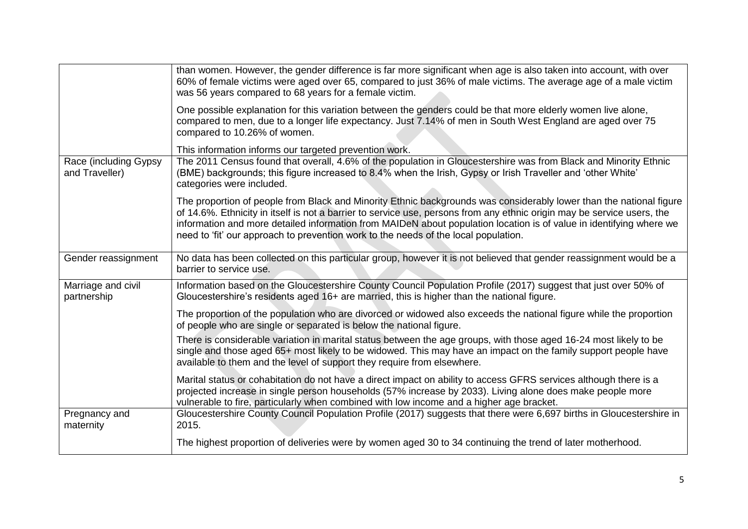|                                         | than women. However, the gender difference is far more significant when age is also taken into account, with over<br>60% of female victims were aged over 65, compared to just 36% of male victims. The average age of a male victim<br>was 56 years compared to 68 years for a female victim.                                                                                                                                                               |
|-----------------------------------------|--------------------------------------------------------------------------------------------------------------------------------------------------------------------------------------------------------------------------------------------------------------------------------------------------------------------------------------------------------------------------------------------------------------------------------------------------------------|
|                                         | One possible explanation for this variation between the genders could be that more elderly women live alone,<br>compared to men, due to a longer life expectancy. Just 7.14% of men in South West England are aged over 75<br>compared to 10.26% of women.                                                                                                                                                                                                   |
|                                         | This information informs our targeted prevention work.                                                                                                                                                                                                                                                                                                                                                                                                       |
| Race (including Gypsy<br>and Traveller) | The 2011 Census found that overall, 4.6% of the population in Gloucestershire was from Black and Minority Ethnic<br>(BME) backgrounds; this figure increased to 8.4% when the Irish, Gypsy or Irish Traveller and 'other White'<br>categories were included.                                                                                                                                                                                                 |
|                                         | The proportion of people from Black and Minority Ethnic backgrounds was considerably lower than the national figure<br>of 14.6%. Ethnicity in itself is not a barrier to service use, persons from any ethnic origin may be service users, the<br>information and more detailed information from MAIDeN about population location is of value in identifying where we<br>need to 'fit' our approach to prevention work to the needs of the local population. |
| Gender reassignment                     | No data has been collected on this particular group, however it is not believed that gender reassignment would be a<br>barrier to service use.                                                                                                                                                                                                                                                                                                               |
| Marriage and civil<br>partnership       | Information based on the Gloucestershire County Council Population Profile (2017) suggest that just over 50% of<br>Gloucestershire's residents aged 16+ are married, this is higher than the national figure.                                                                                                                                                                                                                                                |
|                                         | The proportion of the population who are divorced or widowed also exceeds the national figure while the proportion<br>of people who are single or separated is below the national figure.                                                                                                                                                                                                                                                                    |
|                                         | There is considerable variation in marital status between the age groups, with those aged 16-24 most likely to be<br>single and those aged 65+ most likely to be widowed. This may have an impact on the family support people have<br>available to them and the level of support they require from elsewhere.                                                                                                                                               |
|                                         | Marital status or cohabitation do not have a direct impact on ability to access GFRS services although there is a<br>projected increase in single person households (57% increase by 2033). Living alone does make people more<br>vulnerable to fire, particularly when combined with low income and a higher age bracket.                                                                                                                                   |
| Pregnancy and<br>maternity              | Gloucestershire County Council Population Profile (2017) suggests that there were 6,697 births in Gloucestershire in<br>2015.                                                                                                                                                                                                                                                                                                                                |
|                                         | The highest proportion of deliveries were by women aged 30 to 34 continuing the trend of later motherhood.                                                                                                                                                                                                                                                                                                                                                   |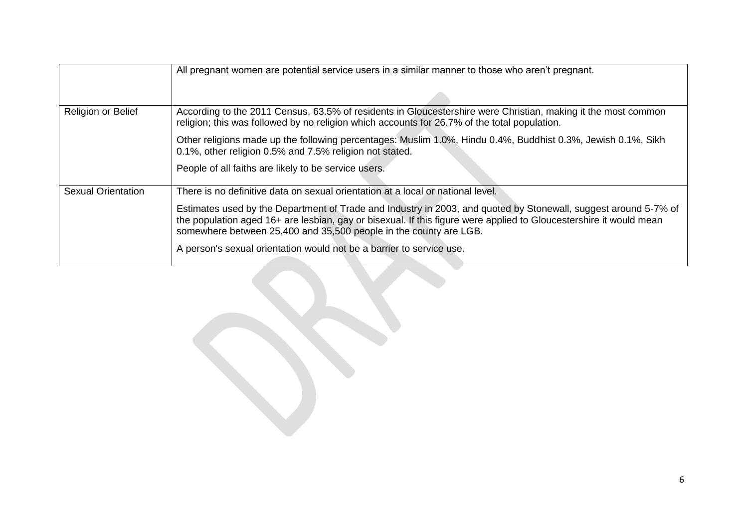|                           | All pregnant women are potential service users in a similar manner to those who aren't pregnant.                                                                                                                                                                                                           |  |  |  |
|---------------------------|------------------------------------------------------------------------------------------------------------------------------------------------------------------------------------------------------------------------------------------------------------------------------------------------------------|--|--|--|
|                           |                                                                                                                                                                                                                                                                                                            |  |  |  |
| Religion or Belief        | According to the 2011 Census, 63.5% of residents in Gloucestershire were Christian, making it the most common<br>religion; this was followed by no religion which accounts for 26.7% of the total population.                                                                                              |  |  |  |
|                           | Other religions made up the following percentages: Muslim 1.0%, Hindu 0.4%, Buddhist 0.3%, Jewish 0.1%, Sikh<br>0.1%, other religion 0.5% and 7.5% religion not stated.                                                                                                                                    |  |  |  |
|                           | People of all faiths are likely to be service users.                                                                                                                                                                                                                                                       |  |  |  |
| <b>Sexual Orientation</b> | There is no definitive data on sexual orientation at a local or national level.                                                                                                                                                                                                                            |  |  |  |
|                           | Estimates used by the Department of Trade and Industry in 2003, and quoted by Stonewall, suggest around 5-7% of<br>the population aged 16+ are lesbian, gay or bisexual. If this figure were applied to Gloucestershire it would mean<br>somewhere between 25,400 and 35,500 people in the county are LGB. |  |  |  |
|                           | A person's sexual orientation would not be a barrier to service use.                                                                                                                                                                                                                                       |  |  |  |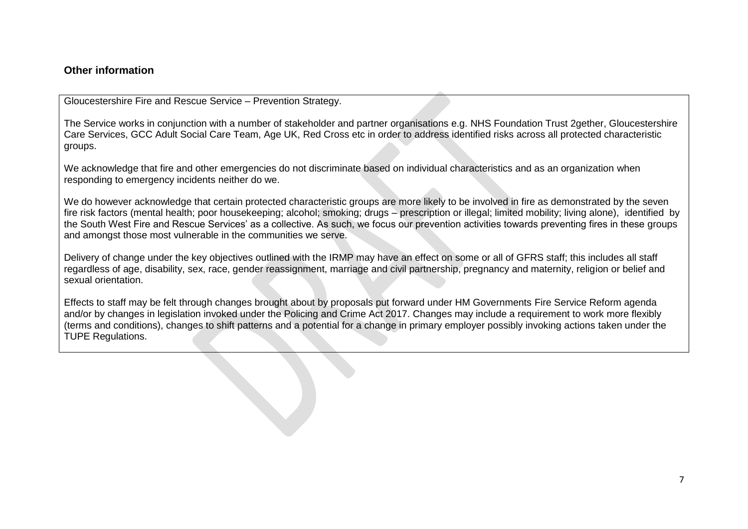#### **Other information**

Gloucestershire Fire and Rescue Service – Prevention Strategy.

The Service works in conjunction with a number of stakeholder and partner organisations e.g. NHS Foundation Trust 2gether, Gloucestershire Care Services, GCC Adult Social Care Team, Age UK, Red Cross etc in order to address identified risks across all protected characteristic groups.

We acknowledge that fire and other emergencies do not discriminate based on individual characteristics and as an organization when responding to emergency incidents neither do we.

We do however acknowledge that certain protected characteristic groups are more likely to be involved in fire as demonstrated by the seven fire risk factors (mental health; poor housekeeping; alcohol; smoking; drugs – prescription or illegal; limited mobility; living alone), identified by the South West Fire and Rescue Services' as a collective. As such, we focus our prevention activities towards preventing fires in these groups and amongst those most vulnerable in the communities we serve.

Delivery of change under the key objectives outlined with the IRMP may have an effect on some or all of GFRS staff; this includes all staff regardless of age, disability, sex, race, gender reassignment, marriage and civil partnership, pregnancy and maternity, religion or belief and sexual orientation.

Effects to staff may be felt through changes brought about by proposals put forward under HM Governments Fire Service Reform agenda and/or by changes in legislation invoked under the Policing and Crime Act 2017. Changes may include a requirement to work more flexibly (terms and conditions), changes to shift patterns and a potential for a change in primary employer possibly invoking actions taken under the TUPE Regulations.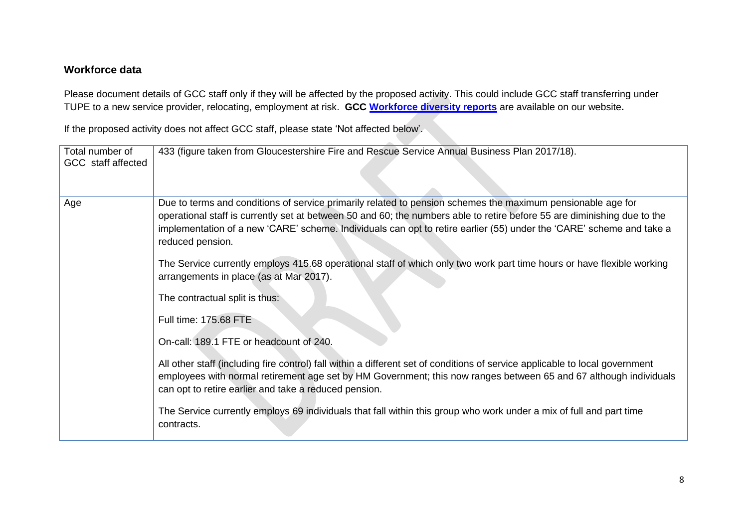### **Workforce data**

Please document details of GCC staff only if they will be affected by the proposed activity. This could include GCC staff transferring under TUPE to a new service provider, relocating, employment at risk. **GCC [Workforce diversity reports](http://www.gloucestershire.gov.uk/article/112275/Reports)** are available on our website**.**

If the proposed activity does not affect GCC staff, please state 'Not affected below'.

| Total number of<br>GCC staff affected | 433 (figure taken from Gloucestershire Fire and Rescue Service Annual Business Plan 2017/18).                                                                                                                                                                                                                                                                                       |
|---------------------------------------|-------------------------------------------------------------------------------------------------------------------------------------------------------------------------------------------------------------------------------------------------------------------------------------------------------------------------------------------------------------------------------------|
| Age                                   | Due to terms and conditions of service primarily related to pension schemes the maximum pensionable age for<br>operational staff is currently set at between 50 and 60; the numbers able to retire before 55 are diminishing due to the<br>implementation of a new 'CARE' scheme. Individuals can opt to retire earlier (55) under the 'CARE' scheme and take a<br>reduced pension. |
|                                       | The Service currently employs 415.68 operational staff of which only two work part time hours or have flexible working<br>arrangements in place (as at Mar 2017).                                                                                                                                                                                                                   |
|                                       | The contractual split is thus:                                                                                                                                                                                                                                                                                                                                                      |
|                                       | Full time: 175.68 FTE                                                                                                                                                                                                                                                                                                                                                               |
|                                       | On-call: 189.1 FTE or headcount of 240.                                                                                                                                                                                                                                                                                                                                             |
|                                       | All other staff (including fire control) fall within a different set of conditions of service applicable to local government<br>employees with normal retirement age set by HM Government; this now ranges between 65 and 67 although individuals<br>can opt to retire earlier and take a reduced pension.                                                                          |
|                                       | The Service currently employs 69 individuals that fall within this group who work under a mix of full and part time<br>contracts.                                                                                                                                                                                                                                                   |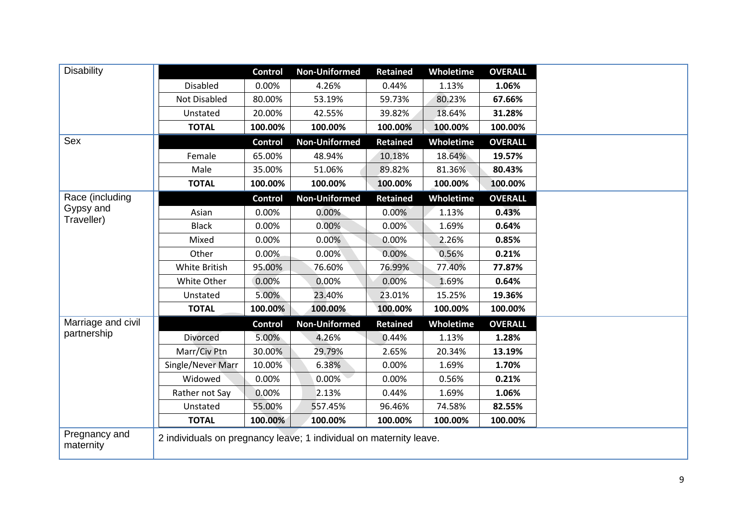| Disability                 |                                                                    | <b>Control</b> | <b>Non-Uniformed</b> | Retained        | <b>Wholetime</b> | <b>OVERALL</b> |
|----------------------------|--------------------------------------------------------------------|----------------|----------------------|-----------------|------------------|----------------|
|                            | <b>Disabled</b>                                                    | 0.00%          | 4.26%                | 0.44%           | 1.13%            | 1.06%          |
|                            | Not Disabled                                                       | 80.00%         | 53.19%               | 59.73%          | 80.23%           | 67.66%         |
|                            | Unstated                                                           | 20.00%         | 42.55%               | 39.82%          | 18.64%           | 31.28%         |
|                            | <b>TOTAL</b>                                                       | 100.00%        | 100.00%              | 100.00%         | 100.00%          | 100.00%        |
| Sex                        |                                                                    | <b>Control</b> | <b>Non-Uniformed</b> | <b>Retained</b> | Wholetime        | <b>OVERALL</b> |
|                            | Female                                                             | 65.00%         | 48.94%               | 10.18%          | 18.64%           | 19.57%         |
|                            | Male                                                               | 35.00%         | 51.06%               | 89.82%          | 81.36%           | 80.43%         |
|                            | <b>TOTAL</b>                                                       | 100.00%        | 100.00%              | 100.00%         | 100.00%          | 100.00%        |
| Race (including            |                                                                    | <b>Control</b> | <b>Non-Uniformed</b> | <b>Retained</b> | Wholetime        | <b>OVERALL</b> |
| Gypsy and                  | Asian                                                              | 0.00%          | 0.00%                | 0.00%           | 1.13%            | 0.43%          |
| Traveller)                 | <b>Black</b>                                                       | 0.00%          | 0.00%                | 0.00%           | 1.69%            | 0.64%          |
|                            | Mixed                                                              | 0.00%          | 0.00%                | 0.00%           | 2.26%            | 0.85%          |
|                            | Other                                                              | 0.00%          | 0.00%                | 0.00%           | 0.56%            | 0.21%          |
|                            | White British                                                      | 95.00%         | 76.60%               | 76.99%          | 77.40%           | 77.87%         |
|                            | White Other                                                        | 0.00%          | 0.00%                | 0.00%           | 1.69%            | 0.64%          |
|                            | Unstated                                                           | 5.00%          | 23.40%               | 23.01%          | 15.25%           | 19.36%         |
|                            | <b>TOTAL</b>                                                       | 100.00%        | 100.00%              | 100.00%         | 100.00%          | 100.00%        |
| Marriage and civil         |                                                                    | <b>Control</b> | <b>Non-Uniformed</b> | <b>Retained</b> | Wholetime        | <b>OVERALL</b> |
| partnership                | <b>Divorced</b>                                                    | 5.00%          | 4.26%                | 0.44%           | 1.13%            | 1.28%          |
|                            | Marr/Civ Ptn                                                       | 30.00%         | 29.79%               | 2.65%           | 20.34%           | 13.19%         |
|                            | Single/Never Marr                                                  | 10.00%         | 6.38%                | 0.00%           | 1.69%            | 1.70%          |
|                            | Widowed                                                            | 0.00%          | 0.00%                | 0.00%           | 0.56%            | 0.21%          |
|                            | Rather not Say                                                     | 0.00%          | 2.13%                | 0.44%           | 1.69%            | 1.06%          |
|                            | Unstated                                                           | 55.00%         | 557.45%              | 96.46%          | 74.58%           | 82.55%         |
|                            | <b>TOTAL</b>                                                       | 100.00%        | 100.00%              | 100.00%         | 100.00%          | 100.00%        |
| Pregnancy and<br>maternity | 2 individuals on pregnancy leave; 1 individual on maternity leave. |                |                      |                 |                  |                |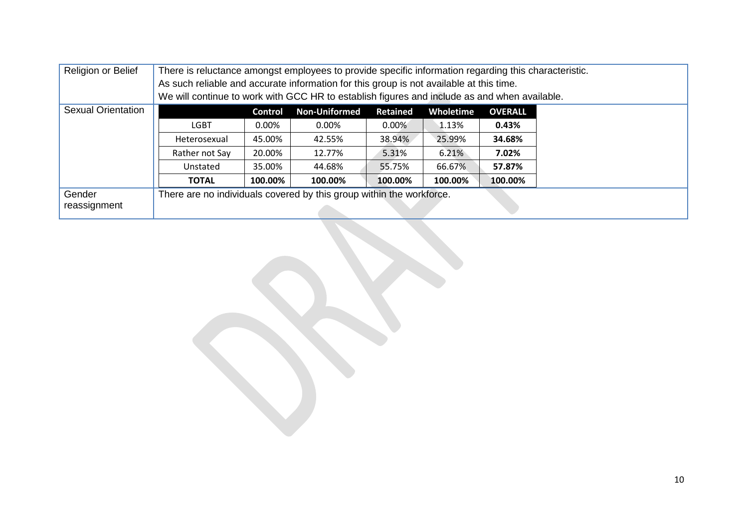| Religion or Belief        | There is reluctance amongst employees to provide specific information regarding this characteristic.<br>As such reliable and accurate information for this group is not available at this time. |                |                      |                 |           |                |  |
|---------------------------|-------------------------------------------------------------------------------------------------------------------------------------------------------------------------------------------------|----------------|----------------------|-----------------|-----------|----------------|--|
|                           | We will continue to work with GCC HR to establish figures and include as and when available.                                                                                                    |                |                      |                 |           |                |  |
| <b>Sexual Orientation</b> |                                                                                                                                                                                                 | <b>Control</b> | <b>Non-Uniformed</b> | <b>Retained</b> | Wholetime | <b>OVERALL</b> |  |
|                           | <b>LGBT</b>                                                                                                                                                                                     | $0.00\%$       | 0.00%                | $0.00\%$        | 1.13%     | 0.43%          |  |
|                           | Heterosexual                                                                                                                                                                                    | 45.00%         | 42.55%               | 38.94%          | 25.99%    | 34.68%         |  |
|                           | Rather not Say                                                                                                                                                                                  | 20.00%         | 12.77%               | 5.31%           | 6.21%     | 7.02%          |  |
|                           | Unstated                                                                                                                                                                                        | 35.00%         | 44.68%               | 55.75%          | 66.67%    | 57.87%         |  |
|                           | <b>TOTAL</b>                                                                                                                                                                                    | 100.00%        | 100.00%              | 100.00%         | 100.00%   | 100.00%        |  |
| Gender                    | There are no individuals covered by this group within the workforce.                                                                                                                            |                |                      |                 |           |                |  |
| reassignment              |                                                                                                                                                                                                 |                |                      |                 |           |                |  |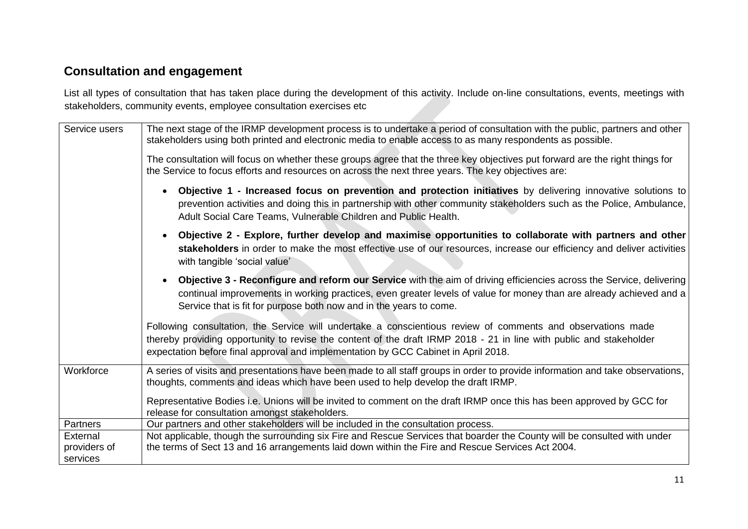## **Consultation and engagement**

List all types of consultation that has taken place during the development of this activity. Include on-line consultations, events, meetings with stakeholders, community events, employee consultation exercises etc

| Service users                        | The next stage of the IRMP development process is to undertake a period of consultation with the public, partners and other<br>stakeholders using both printed and electronic media to enable access to as many respondents as possible.                                                                                       |
|--------------------------------------|--------------------------------------------------------------------------------------------------------------------------------------------------------------------------------------------------------------------------------------------------------------------------------------------------------------------------------|
|                                      | The consultation will focus on whether these groups agree that the three key objectives put forward are the right things for<br>the Service to focus efforts and resources on across the next three years. The key objectives are:                                                                                             |
|                                      | Objective 1 - Increased focus on prevention and protection initiatives by delivering innovative solutions to<br>$\bullet$<br>prevention activities and doing this in partnership with other community stakeholders such as the Police, Ambulance,<br>Adult Social Care Teams, Vulnerable Children and Public Health.           |
|                                      | Objective 2 - Explore, further develop and maximise opportunities to collaborate with partners and other<br>$\bullet$<br>stakeholders in order to make the most effective use of our resources, increase our efficiency and deliver activities<br>with tangible 'social value'                                                 |
|                                      | Objective 3 - Reconfigure and reform our Service with the aim of driving efficiencies across the Service, delivering<br>$\bullet$<br>continual improvements in working practices, even greater levels of value for money than are already achieved and a<br>Service that is fit for purpose both now and in the years to come. |
|                                      | Following consultation, the Service will undertake a conscientious review of comments and observations made<br>thereby providing opportunity to revise the content of the draft IRMP 2018 - 21 in line with public and stakeholder<br>expectation before final approval and implementation by GCC Cabinet in April 2018.       |
| Workforce                            | A series of visits and presentations have been made to all staff groups in order to provide information and take observations,<br>thoughts, comments and ideas which have been used to help develop the draft IRMP.                                                                                                            |
|                                      | Representative Bodies i.e. Unions will be invited to comment on the draft IRMP once this has been approved by GCC for<br>release for consultation amongst stakeholders.                                                                                                                                                        |
| Partners                             | Our partners and other stakeholders will be included in the consultation process.                                                                                                                                                                                                                                              |
| External<br>providers of<br>services | Not applicable, though the surrounding six Fire and Rescue Services that boarder the County will be consulted with under<br>the terms of Sect 13 and 16 arrangements laid down within the Fire and Rescue Services Act 2004.                                                                                                   |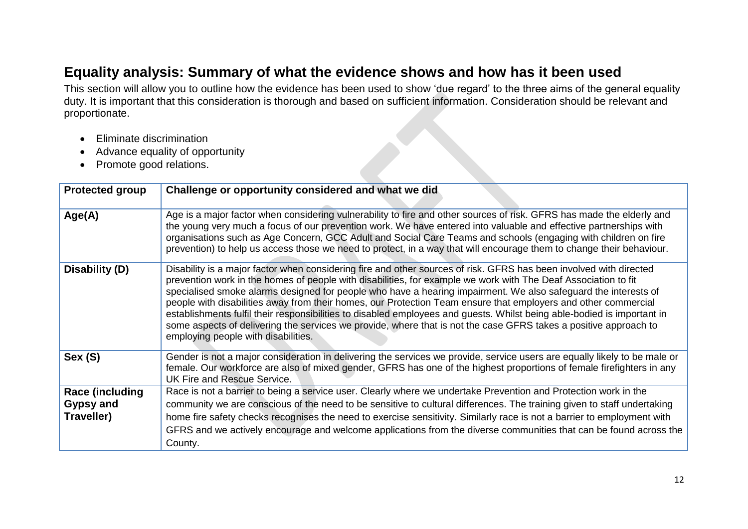# **Equality analysis: Summary of what the evidence shows and how has it been used**

This section will allow you to outline how the evidence has been used to show 'due regard' to the three aims of the general equality duty. It is important that this consideration is thorough and based on sufficient information. Consideration should be relevant and proportionate.

- Eliminate discrimination
- Advance equality of opportunity
- Promote good relations.

| <b>Protected group</b> | Challenge or opportunity considered and what we did                                                                                                                                                                                                                                                                                                                                                                                                                                                                                                                                                                                                                                                                                                            |
|------------------------|----------------------------------------------------------------------------------------------------------------------------------------------------------------------------------------------------------------------------------------------------------------------------------------------------------------------------------------------------------------------------------------------------------------------------------------------------------------------------------------------------------------------------------------------------------------------------------------------------------------------------------------------------------------------------------------------------------------------------------------------------------------|
| Age(A)                 | Age is a major factor when considering vulnerability to fire and other sources of risk. GFRS has made the elderly and<br>the young very much a focus of our prevention work. We have entered into valuable and effective partnerships with<br>organisations such as Age Concern, GCC Adult and Social Care Teams and schools (engaging with children on fire<br>prevention) to help us access those we need to protect, in a way that will encourage them to change their behaviour.                                                                                                                                                                                                                                                                           |
| Disability (D)         | Disability is a major factor when considering fire and other sources of risk. GFRS has been involved with directed<br>prevention work in the homes of people with disabilities, for example we work with The Deaf Association to fit<br>specialised smoke alarms designed for people who have a hearing impairment. We also safeguard the interests of<br>people with disabilities away from their homes, our Protection Team ensure that employers and other commercial<br>establishments fulfil their responsibilities to disabled employees and guests. Whilst being able-bodied is important in<br>some aspects of delivering the services we provide, where that is not the case GFRS takes a positive approach to<br>employing people with disabilities. |
| Sex (S)                | Gender is not a major consideration in delivering the services we provide, service users are equally likely to be male or<br>female. Our workforce are also of mixed gender, GFRS has one of the highest proportions of female firefighters in any<br>UK Fire and Rescue Service.                                                                                                                                                                                                                                                                                                                                                                                                                                                                              |
| <b>Race (including</b> | Race is not a barrier to being a service user. Clearly where we undertake Prevention and Protection work in the                                                                                                                                                                                                                                                                                                                                                                                                                                                                                                                                                                                                                                                |
| <b>Gypsy and</b>       | community we are conscious of the need to be sensitive to cultural differences. The training given to staff undertaking                                                                                                                                                                                                                                                                                                                                                                                                                                                                                                                                                                                                                                        |
| Traveller)             | home fire safety checks recognises the need to exercise sensitivity. Similarly race is not a barrier to employment with                                                                                                                                                                                                                                                                                                                                                                                                                                                                                                                                                                                                                                        |
|                        | GFRS and we actively encourage and welcome applications from the diverse communities that can be found across the                                                                                                                                                                                                                                                                                                                                                                                                                                                                                                                                                                                                                                              |
|                        | County.                                                                                                                                                                                                                                                                                                                                                                                                                                                                                                                                                                                                                                                                                                                                                        |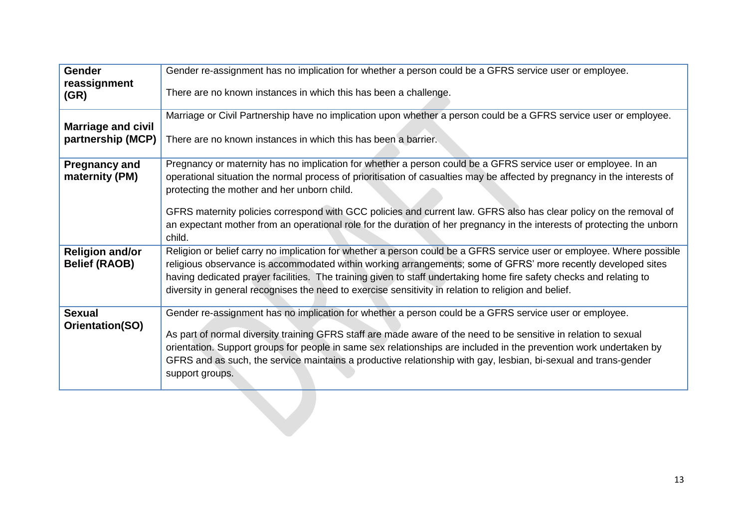| <b>Gender</b>                                  | Gender re-assignment has no implication for whether a person could be a GFRS service user or employee.                                                                                                                      |
|------------------------------------------------|-----------------------------------------------------------------------------------------------------------------------------------------------------------------------------------------------------------------------------|
| reassignment<br>(GR)                           | There are no known instances in which this has been a challenge.                                                                                                                                                            |
|                                                | Marriage or Civil Partnership have no implication upon whether a person could be a GFRS service user or employee.                                                                                                           |
| <b>Marriage and civil</b><br>partnership (MCP) | There are no known instances in which this has been a barrier.                                                                                                                                                              |
| <b>Pregnancy and</b>                           | Pregnancy or maternity has no implication for whether a person could be a GFRS service user or employee. In an                                                                                                              |
| maternity (PM)                                 | operational situation the normal process of prioritisation of casualties may be affected by pregnancy in the interests of                                                                                                   |
|                                                | protecting the mother and her unborn child.                                                                                                                                                                                 |
|                                                | GFRS maternity policies correspond with GCC policies and current law. GFRS also has clear policy on the removal of                                                                                                          |
|                                                | an expectant mother from an operational role for the duration of her pregnancy in the interests of protecting the unborn<br>child.                                                                                          |
| <b>Religion and/or</b>                         | Religion or belief carry no implication for whether a person could be a GFRS service user or employee. Where possible                                                                                                       |
| <b>Belief (RAOB)</b>                           | religious observance is accommodated within working arrangements; some of GFRS' more recently developed sites                                                                                                               |
|                                                | having dedicated prayer facilities. The training given to staff undertaking home fire safety checks and relating to<br>diversity in general recognises the need to exercise sensitivity in relation to religion and belief. |
|                                                |                                                                                                                                                                                                                             |
| <b>Sexual</b>                                  | Gender re-assignment has no implication for whether a person could be a GFRS service user or employee.                                                                                                                      |
| Orientation(SO)                                | As part of normal diversity training GFRS staff are made aware of the need to be sensitive in relation to sexual                                                                                                            |
|                                                | orientation. Support groups for people in same sex relationships are included in the prevention work undertaken by                                                                                                          |
|                                                | GFRS and as such, the service maintains a productive relationship with gay, lesbian, bi-sexual and trans-gender                                                                                                             |
|                                                | support groups.                                                                                                                                                                                                             |
|                                                |                                                                                                                                                                                                                             |
|                                                |                                                                                                                                                                                                                             |
|                                                |                                                                                                                                                                                                                             |
|                                                |                                                                                                                                                                                                                             |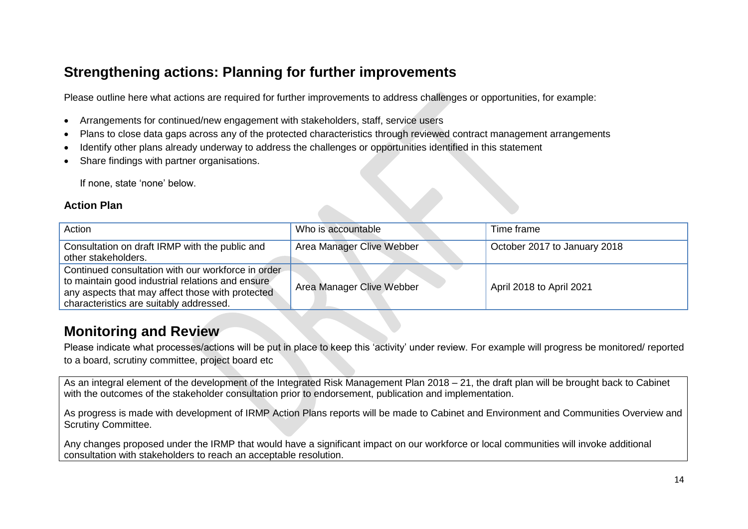# **Strengthening actions: Planning for further improvements**

Please outline here what actions are required for further improvements to address challenges or opportunities, for example:

- Arrangements for continued/new engagement with stakeholders, staff, service users
- Plans to close data gaps across any of the protected characteristics through reviewed contract management arrangements
- Identify other plans already underway to address the challenges or opportunities identified in this statement
- Share findings with partner organisations.

If none, state 'none' below.

#### **Action Plan**

| Action                                                                                                                                                                                                | Who is accountable        | Time frame                   |
|-------------------------------------------------------------------------------------------------------------------------------------------------------------------------------------------------------|---------------------------|------------------------------|
| Consultation on draft IRMP with the public and<br>other stakeholders.                                                                                                                                 | Area Manager Clive Webber | October 2017 to January 2018 |
| Continued consultation with our workforce in order<br>to maintain good industrial relations and ensure<br>any aspects that may affect those with protected<br>characteristics are suitably addressed. | Area Manager Clive Webber | April 2018 to April 2021     |

### **Monitoring and Review**

Please indicate what processes/actions will be put in place to keep this 'activity' under review. For example will progress be monitored/ reported to a board, scrutiny committee, project board etc

As an integral element of the development of the Integrated Risk Management Plan 2018 – 21, the draft plan will be brought back to Cabinet with the outcomes of the stakeholder consultation prior to endorsement, publication and implementation.

As progress is made with development of IRMP Action Plans reports will be made to Cabinet and Environment and Communities Overview and Scrutiny Committee.

Any changes proposed under the IRMP that would have a significant impact on our workforce or local communities will invoke additional consultation with stakeholders to reach an acceptable resolution.